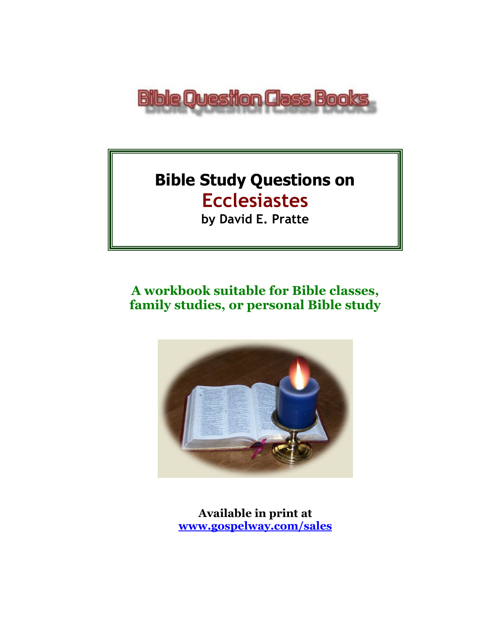

# **Bible Study Questions on Ecclesiastes**

**by David E. Pratte**

# **A workbook suitable for Bible classes, family studies, or personal Bible study**



**Available in print at [www.gospelway.com/sales](https://www.gospelway.com/sales)**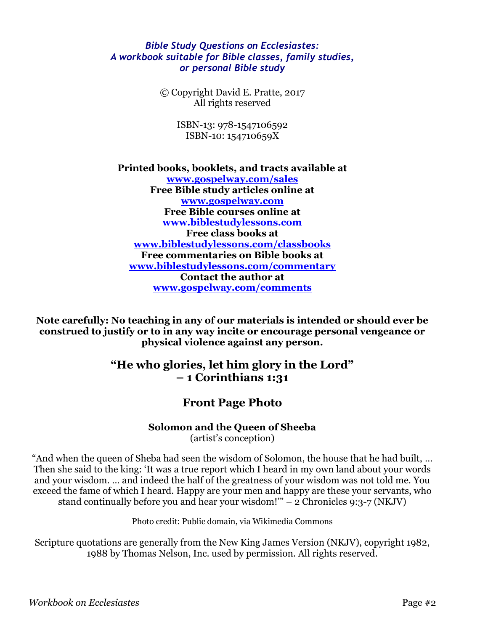#### *Bible Study Questions on Ecclesiastes: A workbook suitable for Bible classes, family studies, or personal Bible study*

© Copyright David E. Pratte, 2017 All rights reserved

> ISBN-13: 978-1547106592 ISBN-10: 154710659X

**Printed books, booklets, and tracts available at [www.gospelway.com/sales](https://www.gospelway.com/sales) Free Bible study articles online at [www.gospelway.com](http://www.gospelway.com/) Free Bible courses online at [www.biblestudylessons.com](http://www.biblestudylessons.com/) Free class books at [www.biblestudylessons.com/classbooks](http://www.biblestudylessons.com/classbooks) Free commentaries on Bible books at [www.biblestudylessons.com/commentary](http://www.biblestudylessons.com/commentary) Contact the author at [www.gospelway.com/comments](http://www.gospelway.com/comments)**

**Note carefully: No teaching in any of our materials is intended or should ever be construed to justify or to in any way incite or encourage personal vengeance or physical violence against any person.**

#### **"He who glories, let him glory in the Lord" – 1 Corinthians 1:31**

#### **Front Page Photo**

#### **Solomon and the Queen of Sheeba**

(artist's conception)

"And when the queen of Sheba had seen the wisdom of Solomon, the house that he had built, … Then she said to the king: 'It was a true report which I heard in my own land about your words and your wisdom. … and indeed the half of the greatness of your wisdom was not told me. You exceed the fame of which I heard. Happy are your men and happy are these your servants, who stand continually before you and hear your wisdom!"  $-2$  Chronicles 9:3-7 (NKJV)

Photo credit: Public domain, via Wikimedia Commons

Scripture quotations are generally from the New King James Version (NKJV), copyright 1982, 1988 by Thomas Nelson, Inc. used by permission. All rights reserved.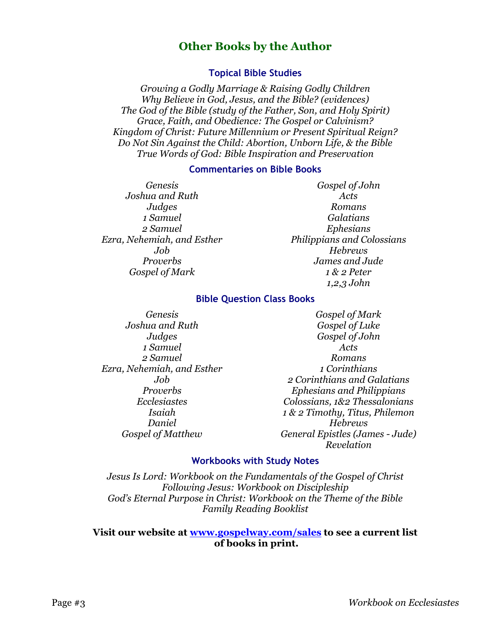#### **Other Books by the Author**

#### **Topical Bible Studies**

*Growing a Godly Marriage & Raising Godly Children Why Believe in God, Jesus, and the Bible? (evidences) The God of the Bible (study of the Father, Son, and Holy Spirit) Grace, Faith, and Obedience: The Gospel or Calvinism? Kingdom of Christ: Future Millennium or Present Spiritual Reign? Do Not Sin Against the Child: Abortion, Unborn Life, & the Bible True Words of God: Bible Inspiration and Preservation*

#### **Commentaries on Bible Books**

*Genesis Joshua and Ruth Judges 1 Samuel 2 Samuel Ezra, Nehemiah, and Esther Job Proverbs Gospel of Mark*

*Gospel of John Acts Romans Galatians Ephesians Philippians and Colossians Hebrews James and Jude 1 & 2 Peter 1,2,3 John*

#### **Bible Question Class Books**

*Genesis Joshua and Ruth Judges 1 Samuel 2 Samuel Ezra, Nehemiah, and Esther Job Proverbs Ecclesiastes Isaiah Daniel Gospel of Matthew*

*Gospel of Mark Gospel of Luke Gospel of John Acts Romans 1 Corinthians 2 Corinthians and Galatians Ephesians and Philippians Colossians, 1&2 Thessalonians 1 & 2 Timothy, Titus, Philemon Hebrews General Epistles (James - Jude) Revelation*

#### **Workbooks with Study Notes**

*Jesus Is Lord: Workbook on the Fundamentals of the Gospel of Christ Following Jesus: Workbook on Discipleship God's Eternal Purpose in Christ: Workbook on the Theme of the Bible Family Reading Booklist*

#### **Visit our website at [www.gospelway.com/sales](https://www.gospelway.com/sales) to see a current list of books in print.**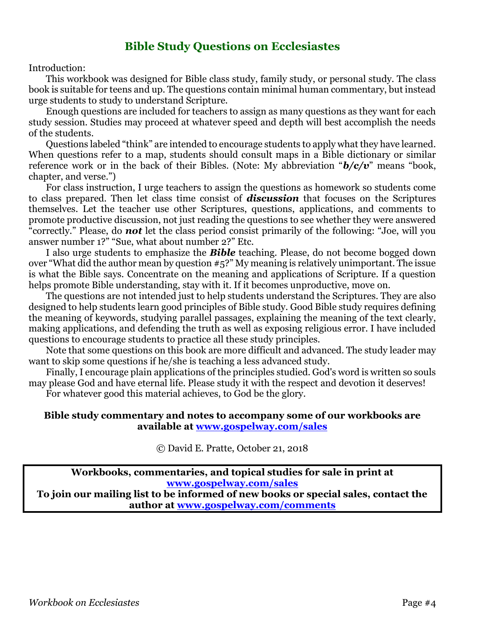#### **Bible Study Questions on Ecclesiastes**

Introduction:

This workbook was designed for Bible class study, family study, or personal study. The class book is suitable for teens and up. The questions contain minimal human commentary, but instead urge students to study to understand Scripture.

Enough questions are included for teachers to assign as many questions as they want for each study session. Studies may proceed at whatever speed and depth will best accomplish the needs of the students.

Questions labeled "think" are intended to encourage students to apply what they have learned. When questions refer to a map, students should consult maps in a Bible dictionary or similar reference work or in the back of their Bibles. (Note: My abbreviation "*b/c/v*" means "book, chapter, and verse.")

For class instruction, I urge teachers to assign the questions as homework so students come to class prepared. Then let class time consist of *discussion* that focuses on the Scriptures themselves. Let the teacher use other Scriptures, questions, applications, and comments to promote productive discussion, not just reading the questions to see whether they were answered "correctly." Please, do *not* let the class period consist primarily of the following: "Joe, will you answer number 1?" "Sue, what about number 2?" Etc.

I also urge students to emphasize the *Bible* teaching. Please, do not become bogged down over "What did the author mean by question #5?" My meaning is relatively unimportant. The issue is what the Bible says. Concentrate on the meaning and applications of Scripture. If a question helps promote Bible understanding, stay with it. If it becomes unproductive, move on.

The questions are not intended just to help students understand the Scriptures. They are also designed to help students learn good principles of Bible study. Good Bible study requires defining the meaning of keywords, studying parallel passages, explaining the meaning of the text clearly, making applications, and defending the truth as well as exposing religious error. I have included questions to encourage students to practice all these study principles.

Note that some questions on this book are more difficult and advanced. The study leader may want to skip some questions if he/she is teaching a less advanced study.

Finally, I encourage plain applications of the principles studied. God's word is written so souls may please God and have eternal life. Please study it with the respect and devotion it deserves!

For whatever good this material achieves, to God be the glory.

#### **Bible study commentary and notes to accompany some of our workbooks are available at [www.gospelway.com/sales](https://www.gospelway.com/sales)**

© David E. Pratte, October 21, 2018

**Workbooks, commentaries, and topical studies for sale in print at [www.gospelway.com/sales](https://www.gospelway.com/sales)**

**To join our mailing list to be informed of new books or special sales, contact the author at [www.gospelway.com/comments](http://www.gospelway.com/comments)**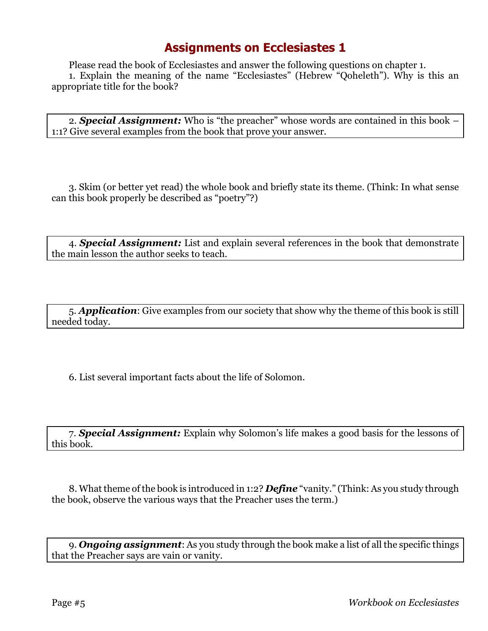Please read the book of Ecclesiastes and answer the following questions on chapter 1. 1. Explain the meaning of the name "Ecclesiastes" (Hebrew "Qoheleth"). Why is this an appropriate title for the book?

2. *Special Assignment:* Who is "the preacher" whose words are contained in this book – 1:1? Give several examples from the book that prove your answer.

3. Skim (or better yet read) the whole book and briefly state its theme. (Think: In what sense can this book properly be described as "poetry"?)

4. *Special Assignment:* List and explain several references in the book that demonstrate the main lesson the author seeks to teach.

5. *Application*: Give examples from our society that show why the theme of this book is still needed today.

6. List several important facts about the life of Solomon.

7. *Special Assignment:* Explain why Solomon's life makes a good basis for the lessons of this book.

8. What theme of the book is introduced in 1:2? *Define* "vanity." (Think: As you study through the book, observe the various ways that the Preacher uses the term.)

9. *Ongoing assignment*: As you study through the book make a list of all the specific things that the Preacher says are vain or vanity.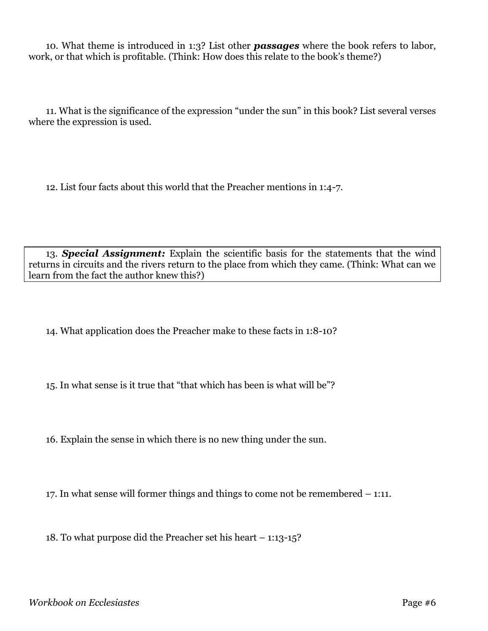10. What theme is introduced in 1:3? List other *passages* where the book refers to labor, work, or that which is profitable. (Think: How does this relate to the book's theme?)

11. What is the significance of the expression "under the sun" in this book? List several verses where the expression is used.

12. List four facts about this world that the Preacher mentions in 1:4-7.

13. *Special Assignment:* Explain the scientific basis for the statements that the wind returns in circuits and the rivers return to the place from which they came. (Think: What can we learn from the fact the author knew this?)

14. What application does the Preacher make to these facts in 1:8-10?

15. In what sense is it true that "that which has been is what will be"?

16. Explain the sense in which there is no new thing under the sun.

17. In what sense will former things and things to come not be remembered – 1:11.

18. To what purpose did the Preacher set his heart – 1:13-15?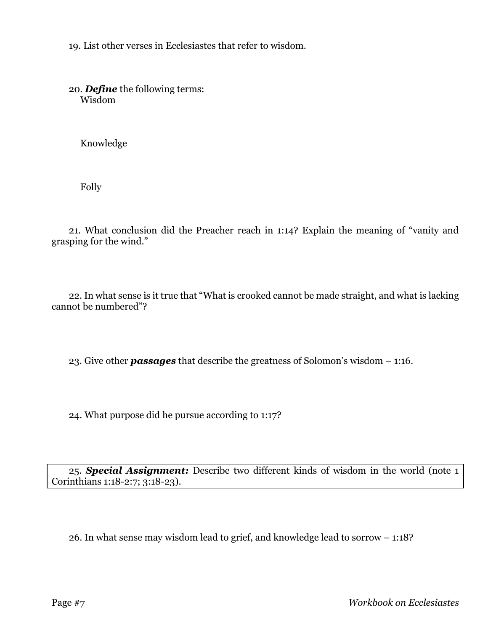19. List other verses in Ecclesiastes that refer to wisdom.

20. *Define* the following terms: Wisdom

Knowledge

Folly

21. What conclusion did the Preacher reach in 1:14? Explain the meaning of "vanity and grasping for the wind."

22. In what sense is it true that "What is crooked cannot be made straight, and what is lacking cannot be numbered"?

23. Give other *passages* that describe the greatness of Solomon's wisdom – 1:16.

24. What purpose did he pursue according to 1:17?

25. *Special Assignment:* Describe two different kinds of wisdom in the world (note 1 Corinthians 1:18-2:7; 3:18-23).

26. In what sense may wisdom lead to grief, and knowledge lead to sorrow – 1:18?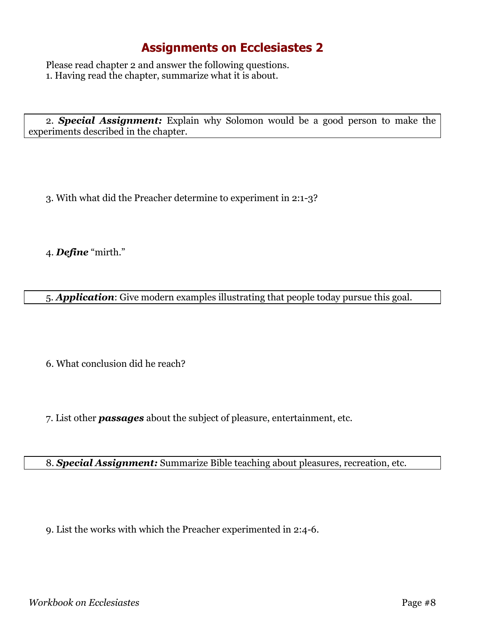Please read chapter 2 and answer the following questions. 1. Having read the chapter, summarize what it is about.

2. *Special Assignment:* Explain why Solomon would be a good person to make the experiments described in the chapter.

3. With what did the Preacher determine to experiment in 2:1-3?

4. *Define* "mirth."

5. *Application*: Give modern examples illustrating that people today pursue this goal.

6. What conclusion did he reach?

7. List other *passages* about the subject of pleasure, entertainment, etc.

8. *Special Assignment:* Summarize Bible teaching about pleasures, recreation, etc.

9. List the works with which the Preacher experimented in 2:4-6.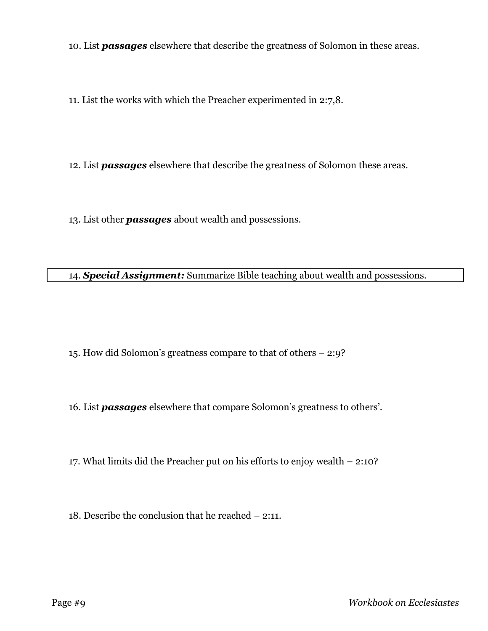10. List *passages* elsewhere that describe the greatness of Solomon in these areas.

11. List the works with which the Preacher experimented in 2:7,8.

12. List *passages* elsewhere that describe the greatness of Solomon these areas.

13. List other *passages* about wealth and possessions.

14. *Special Assignment:* Summarize Bible teaching about wealth and possessions.

15. How did Solomon's greatness compare to that of others – 2:9?

16. List *passages* elsewhere that compare Solomon's greatness to others'.

17. What limits did the Preacher put on his efforts to enjoy wealth – 2:10?

18. Describe the conclusion that he reached – 2:11.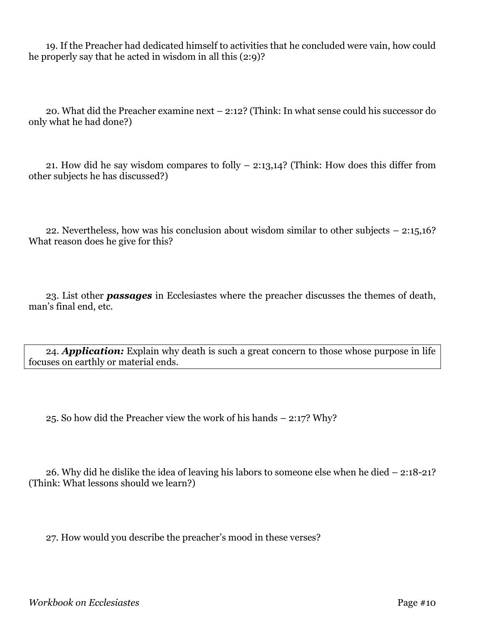19. If the Preacher had dedicated himself to activities that he concluded were vain, how could he properly say that he acted in wisdom in all this (2:9)?

20. What did the Preacher examine next – 2:12? (Think: In what sense could his successor do only what he had done?)

21. How did he say wisdom compares to folly – 2:13,14? (Think: How does this differ from other subjects he has discussed?)

22. Nevertheless, how was his conclusion about wisdom similar to other subjects – 2:15,16? What reason does he give for this?

23. List other *passages* in Ecclesiastes where the preacher discusses the themes of death, man's final end, etc.

24. *Application:* Explain why death is such a great concern to those whose purpose in life focuses on earthly or material ends.

25. So how did the Preacher view the work of his hands – 2:17? Why?

26. Why did he dislike the idea of leaving his labors to someone else when he died – 2:18-21? (Think: What lessons should we learn?)

27. How would you describe the preacher's mood in these verses?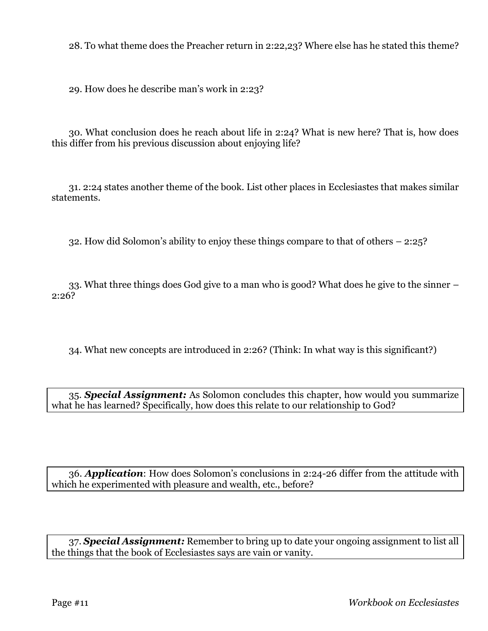28. To what theme does the Preacher return in 2:22,23? Where else has he stated this theme?

29. How does he describe man's work in 2:23?

30. What conclusion does he reach about life in 2:24? What is new here? That is, how does this differ from his previous discussion about enjoying life?

31. 2:24 states another theme of the book. List other places in Ecclesiastes that makes similar statements.

32. How did Solomon's ability to enjoy these things compare to that of others – 2:25?

33. What three things does God give to a man who is good? What does he give to the sinner – 2:26?

34. What new concepts are introduced in 2:26? (Think: In what way is this significant?)

35. *Special Assignment:* As Solomon concludes this chapter, how would you summarize what he has learned? Specifically, how does this relate to our relationship to God?

36. *Application*: How does Solomon's conclusions in 2:24-26 differ from the attitude with which he experimented with pleasure and wealth, etc., before?

37. *Special Assignment:* Remember to bring up to date your ongoing assignment to list all the things that the book of Ecclesiastes says are vain or vanity.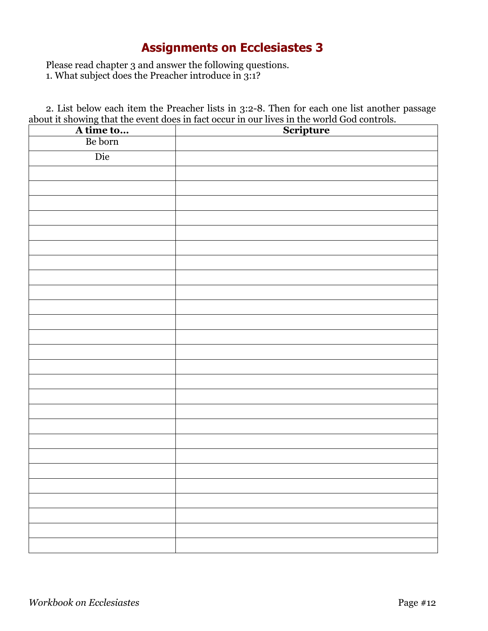Please read chapter 3 and answer the following questions.

1. What subject does the Preacher introduce in 3:1?

2. List below each item the Preacher lists in 3:2-8. Then for each one list another passage about it showing that the event does in fact occur in our lives in the world God controls.

|                      | Scripture |
|----------------------|-----------|
| A time to<br>Be born |           |
| Die                  |           |
|                      |           |
|                      |           |
|                      |           |
|                      |           |
|                      |           |
|                      |           |
|                      |           |
|                      |           |
|                      |           |
|                      |           |
|                      |           |
|                      |           |
|                      |           |
|                      |           |
|                      |           |
|                      |           |
|                      |           |
|                      |           |
|                      |           |
|                      |           |
|                      |           |
|                      |           |
|                      |           |
|                      |           |
|                      |           |
|                      |           |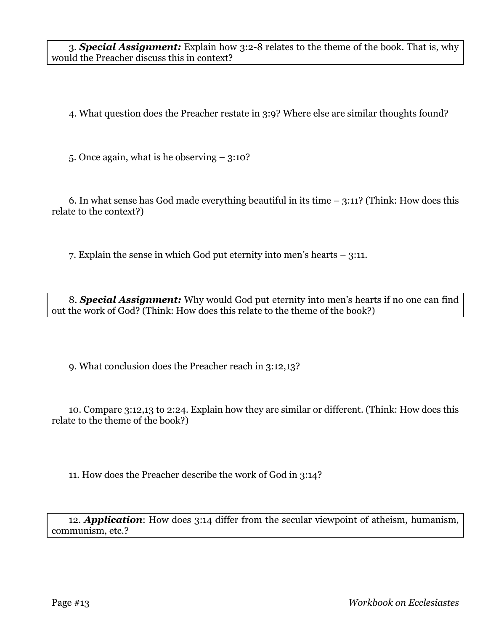3. *Special Assignment:* Explain how 3:2-8 relates to the theme of the book. That is, why would the Preacher discuss this in context?

4. What question does the Preacher restate in 3:9? Where else are similar thoughts found?

5. Once again, what is he observing – 3:10?

6. In what sense has God made everything beautiful in its time – 3:11? (Think: How does this relate to the context?)

7. Explain the sense in which God put eternity into men's hearts – 3:11.

8. *Special Assignment:* Why would God put eternity into men's hearts if no one can find out the work of God? (Think: How does this relate to the theme of the book?)

9. What conclusion does the Preacher reach in 3:12,13?

10. Compare 3:12,13 to 2:24. Explain how they are similar or different. (Think: How does this relate to the theme of the book?)

11. How does the Preacher describe the work of God in 3:14?

12. *Application*: How does 3:14 differ from the secular viewpoint of atheism, humanism, communism, etc.?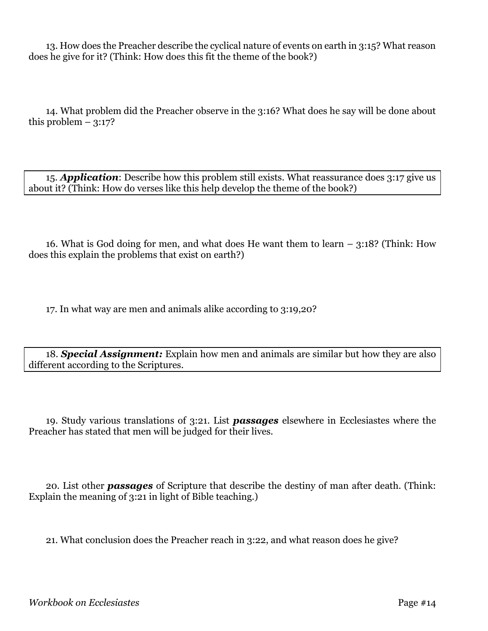13. How does the Preacher describe the cyclical nature of events on earth in 3:15? What reason does he give for it? (Think: How does this fit the theme of the book?)

14. What problem did the Preacher observe in the 3:16? What does he say will be done about this problem  $-3:17?$ 

15. *Application*: Describe how this problem still exists. What reassurance does 3:17 give us about it? (Think: How do verses like this help develop the theme of the book?)

16. What is God doing for men, and what does He want them to learn – 3:18? (Think: How does this explain the problems that exist on earth?)

17. In what way are men and animals alike according to 3:19,20?

18. *Special Assignment:* Explain how men and animals are similar but how they are also different according to the Scriptures.

19. Study various translations of 3:21. List *passages* elsewhere in Ecclesiastes where the Preacher has stated that men will be judged for their lives.

20. List other *passages* of Scripture that describe the destiny of man after death. (Think: Explain the meaning of 3:21 in light of Bible teaching.)

21. What conclusion does the Preacher reach in 3:22, and what reason does he give?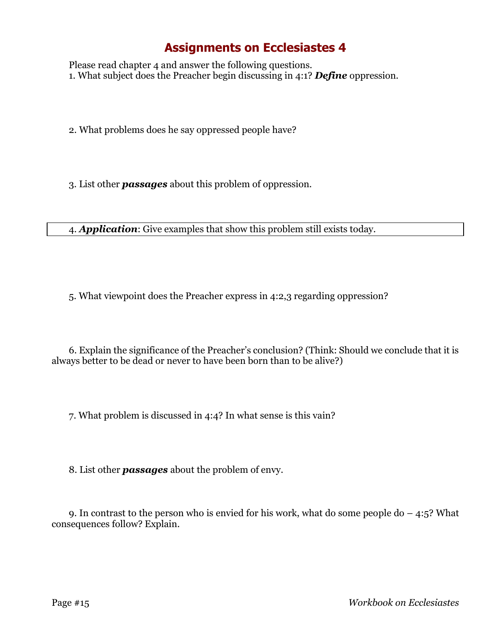Please read chapter 4 and answer the following questions. 1. What subject does the Preacher begin discussing in 4:1? *Define* oppression.

2. What problems does he say oppressed people have?

3. List other *passages* about this problem of oppression.

4. *Application*: Give examples that show this problem still exists today.

5. What viewpoint does the Preacher express in 4:2,3 regarding oppression?

6. Explain the significance of the Preacher's conclusion? (Think: Should we conclude that it is always better to be dead or never to have been born than to be alive?)

7. What problem is discussed in 4:4? In what sense is this vain?

8. List other *passages* about the problem of envy.

9. In contrast to the person who is envied for his work, what do some people do  $-$  4:5? What consequences follow? Explain.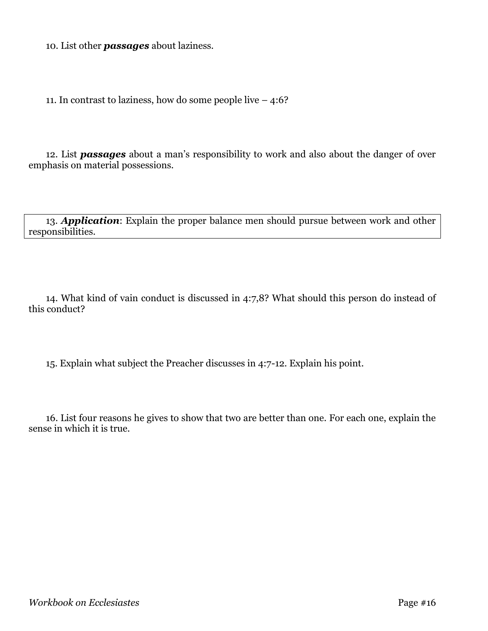10. List other *passages* about laziness.

11. In contrast to laziness, how do some people live – 4:6?

12. List *passages* about a man's responsibility to work and also about the danger of over emphasis on material possessions.

13. *Application*: Explain the proper balance men should pursue between work and other responsibilities.

14. What kind of vain conduct is discussed in 4:7,8? What should this person do instead of this conduct?

15. Explain what subject the Preacher discusses in 4:7-12. Explain his point.

16. List four reasons he gives to show that two are better than one. For each one, explain the sense in which it is true.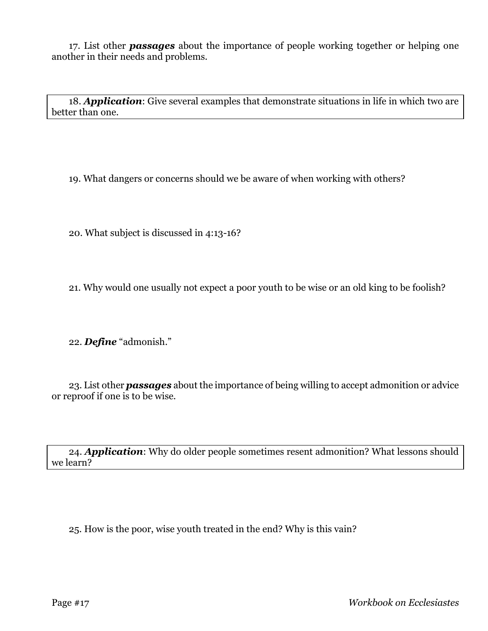17. List other *passages* about the importance of people working together or helping one another in their needs and problems.

18. *Application*: Give several examples that demonstrate situations in life in which two are better than one.

19. What dangers or concerns should we be aware of when working with others?

20. What subject is discussed in 4:13-16?

21. Why would one usually not expect a poor youth to be wise or an old king to be foolish?

22. *Define* "admonish."

23. List other *passages* about the importance of being willing to accept admonition or advice or reproof if one is to be wise.

24. *Application*: Why do older people sometimes resent admonition? What lessons should we learn?

25. How is the poor, wise youth treated in the end? Why is this vain?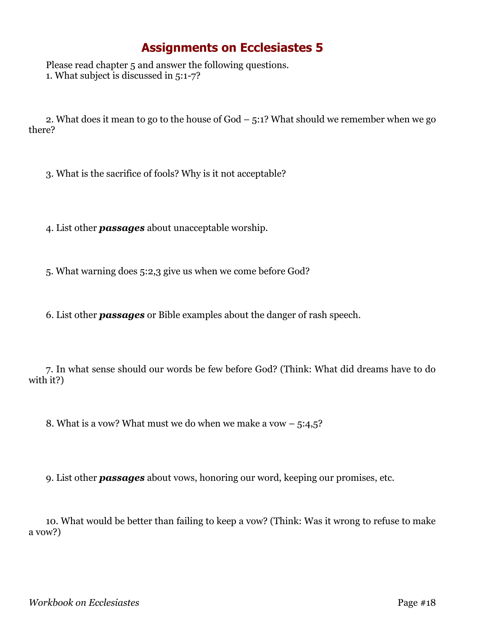Please read chapter 5 and answer the following questions. 1. What subject is discussed in 5:1-7?

2. What does it mean to go to the house of God – 5:1? What should we remember when we go there?

3. What is the sacrifice of fools? Why is it not acceptable?

4. List other *passages* about unacceptable worship.

5. What warning does 5:2,3 give us when we come before God?

6. List other *passages* or Bible examples about the danger of rash speech.

7. In what sense should our words be few before God? (Think: What did dreams have to do with it?)

8. What is a vow? What must we do when we make a vow  $-5:4,5$ ?

9. List other *passages* about vows, honoring our word, keeping our promises, etc.

10. What would be better than failing to keep a vow? (Think: Was it wrong to refuse to make a vow?)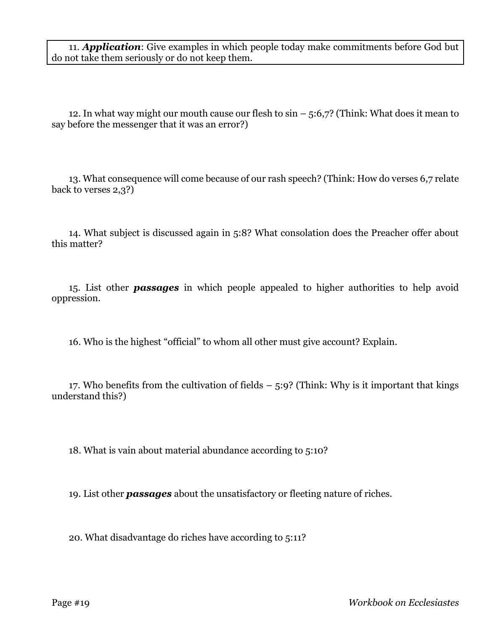11. *Application*: Give examples in which people today make commitments before God but do not take them seriously or do not keep them.

12. In what way might our mouth cause our flesh to  $\sin - 5.6$ ,  $\frac{7}{7}$  (Think: What does it mean to say before the messenger that it was an error?)

13. What consequence will come because of our rash speech? (Think: How do verses 6,7 relate back to verses 2,3?)

14. What subject is discussed again in 5:8? What consolation does the Preacher offer about this matter?

15. List other *passages* in which people appealed to higher authorities to help avoid oppression.

16. Who is the highest "official" to whom all other must give account? Explain.

17. Who benefits from the cultivation of fields  $-5.9$ ? (Think: Why is it important that kings understand this?)

18. What is vain about material abundance according to 5:10?

19. List other *passages* about the unsatisfactory or fleeting nature of riches.

20. What disadvantage do riches have according to 5:11?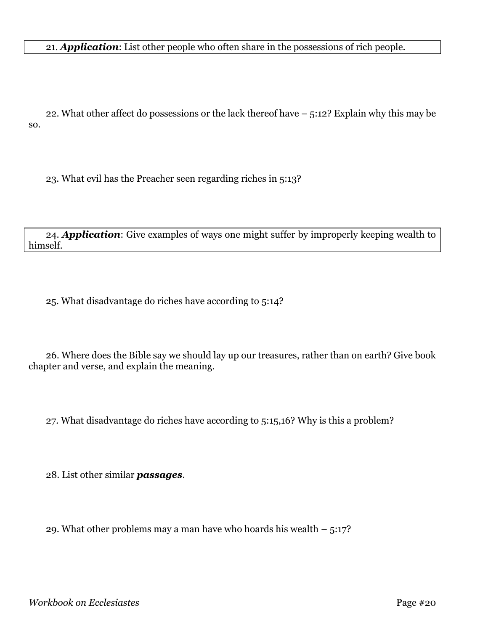21. *Application*: List other people who often share in the possessions of rich people.

22. What other affect do possessions or the lack thereof have – 5:12? Explain why this may be so.

23. What evil has the Preacher seen regarding riches in 5:13?

24. *Application*: Give examples of ways one might suffer by improperly keeping wealth to himself.

25. What disadvantage do riches have according to 5:14?

26. Where does the Bible say we should lay up our treasures, rather than on earth? Give book chapter and verse, and explain the meaning.

27. What disadvantage do riches have according to 5:15,16? Why is this a problem?

28. List other similar *passages*.

29. What other problems may a man have who hoards his wealth  $-5:17$ ?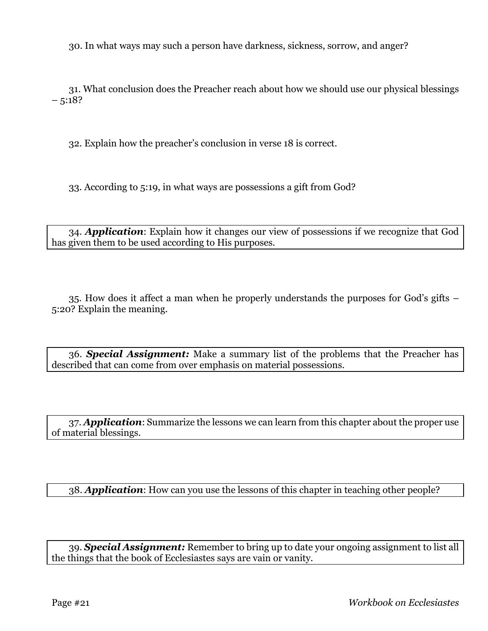30. In what ways may such a person have darkness, sickness, sorrow, and anger?

31. What conclusion does the Preacher reach about how we should use our physical blessings  $-5:18?$ 

32. Explain how the preacher's conclusion in verse 18 is correct.

33. According to 5:19, in what ways are possessions a gift from God?

34. *Application*: Explain how it changes our view of possessions if we recognize that God has given them to be used according to His purposes.

35. How does it affect a man when he properly understands the purposes for God's gifts – 5:20? Explain the meaning.

36. *Special Assignment:* Make a summary list of the problems that the Preacher has described that can come from over emphasis on material possessions.

37. *Application*: Summarize the lessons we can learn from this chapter about the proper use of material blessings.

38. *Application*: How can you use the lessons of this chapter in teaching other people?

39. *Special Assignment:* Remember to bring up to date your ongoing assignment to list all the things that the book of Ecclesiastes says are vain or vanity.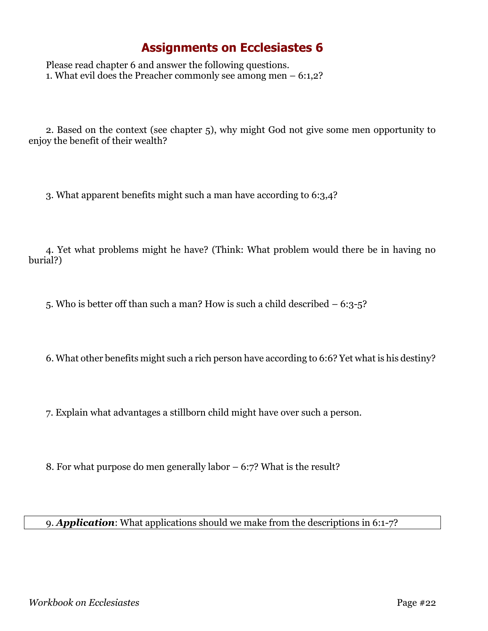Please read chapter 6 and answer the following questions. 1. What evil does the Preacher commonly see among men – 6:1,2?

2. Based on the context (see chapter 5), why might God not give some men opportunity to enjoy the benefit of their wealth?

3. What apparent benefits might such a man have according to 6:3,4?

4. Yet what problems might he have? (Think: What problem would there be in having no burial?)

5. Who is better off than such a man? How is such a child described – 6:3-5?

6. What other benefits might such a rich person have according to 6:6? Yet what is his destiny?

7. Explain what advantages a stillborn child might have over such a person.

8. For what purpose do men generally labor – 6:7? What is the result?

9. *Application*: What applications should we make from the descriptions in 6:1-7?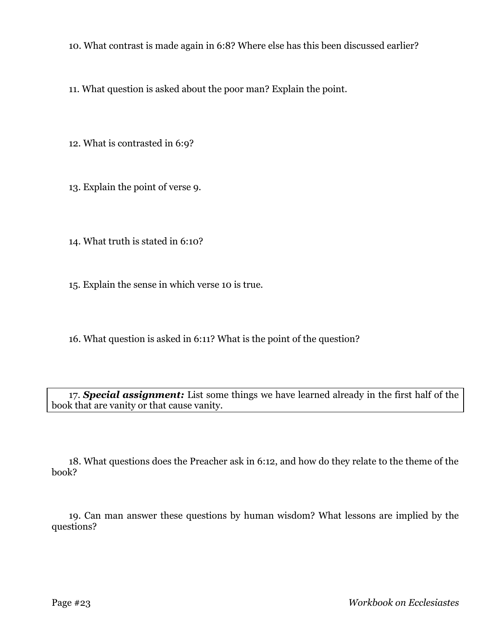10. What contrast is made again in 6:8? Where else has this been discussed earlier?

11. What question is asked about the poor man? Explain the point.

12. What is contrasted in 6:9?

13. Explain the point of verse 9.

14. What truth is stated in 6:10?

15. Explain the sense in which verse 10 is true.

16. What question is asked in 6:11? What is the point of the question?

17. *Special assignment:* List some things we have learned already in the first half of the book that are vanity or that cause vanity.

18. What questions does the Preacher ask in 6:12, and how do they relate to the theme of the book?

19. Can man answer these questions by human wisdom? What lessons are implied by the questions?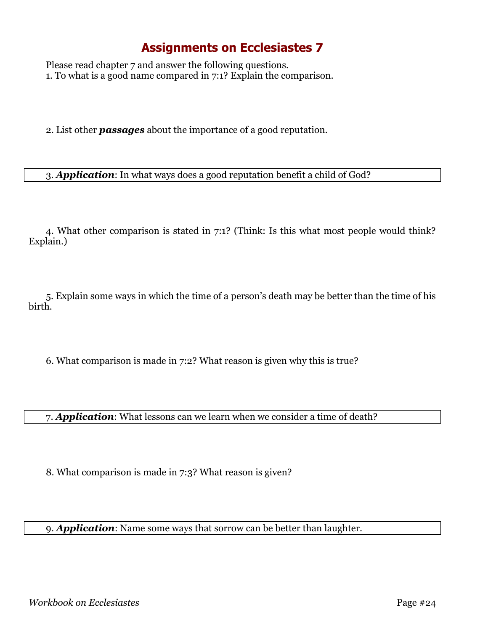Please read chapter 7 and answer the following questions. 1. To what is a good name compared in 7:1? Explain the comparison.

2. List other *passages* about the importance of a good reputation.

3. *Application*: In what ways does a good reputation benefit a child of God?

4. What other comparison is stated in 7:1? (Think: Is this what most people would think? Explain.)

5. Explain some ways in which the time of a person's death may be better than the time of his birth.

6. What comparison is made in 7:2? What reason is given why this is true?

7. *Application*: What lessons can we learn when we consider a time of death?

8. What comparison is made in 7:3? What reason is given?

9. *Application*: Name some ways that sorrow can be better than laughter.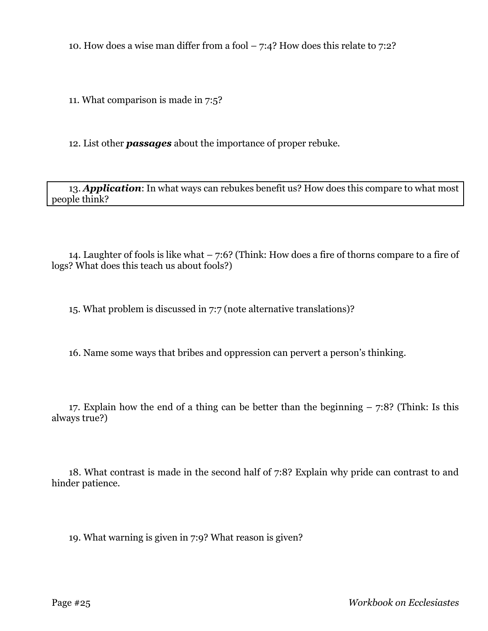10. How does a wise man differ from a fool  $-7:4$ ? How does this relate to 7:2?

11. What comparison is made in 7:5?

12. List other *passages* about the importance of proper rebuke.

13. *Application*: In what ways can rebukes benefit us? How does this compare to what most people think?

14. Laughter of fools is like what – 7:6? (Think: How does a fire of thorns compare to a fire of logs? What does this teach us about fools?)

15. What problem is discussed in 7:7 (note alternative translations)?

16. Name some ways that bribes and oppression can pervert a person's thinking.

17. Explain how the end of a thing can be better than the beginning – 7:8? (Think: Is this always true?)

18. What contrast is made in the second half of 7:8? Explain why pride can contrast to and hinder patience.

19. What warning is given in 7:9? What reason is given?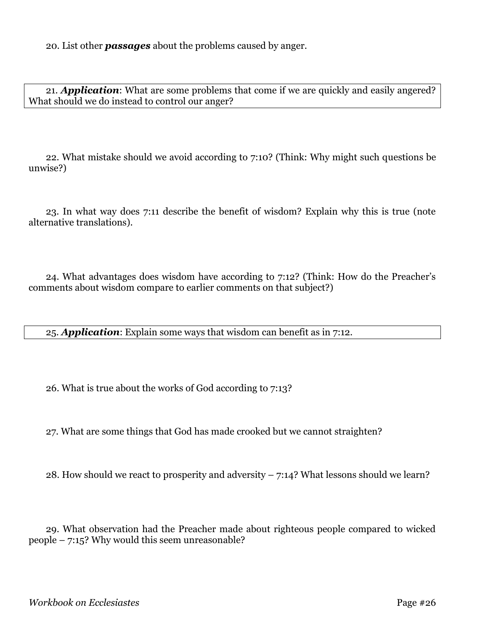20. List other *passages* about the problems caused by anger.

21. *Application*: What are some problems that come if we are quickly and easily angered? What should we do instead to control our anger?

22. What mistake should we avoid according to 7:10? (Think: Why might such questions be unwise?)

23. In what way does 7:11 describe the benefit of wisdom? Explain why this is true (note alternative translations).

24. What advantages does wisdom have according to 7:12? (Think: How do the Preacher's comments about wisdom compare to earlier comments on that subject?)

25. *Application*: Explain some ways that wisdom can benefit as in 7:12.

26. What is true about the works of God according to 7:13?

27. What are some things that God has made crooked but we cannot straighten?

28. How should we react to prosperity and adversity  $-7:14$ ? What lessons should we learn?

29. What observation had the Preacher made about righteous people compared to wicked people – 7:15? Why would this seem unreasonable?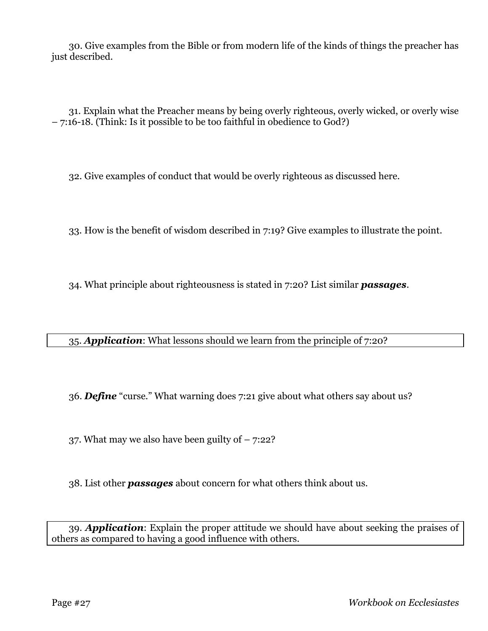30. Give examples from the Bible or from modern life of the kinds of things the preacher has just described.

31. Explain what the Preacher means by being overly righteous, overly wicked, or overly wise – 7:16-18. (Think: Is it possible to be too faithful in obedience to God?)

32. Give examples of conduct that would be overly righteous as discussed here.

33. How is the benefit of wisdom described in 7:19? Give examples to illustrate the point.

34. What principle about righteousness is stated in 7:20? List similar *passages*.

35. *Application*: What lessons should we learn from the principle of 7:20?

36. *Define* "curse." What warning does 7:21 give about what others say about us?

37. What may we also have been guilty of  $-7:22$ ?

38. List other *passages* about concern for what others think about us.

39. *Application*: Explain the proper attitude we should have about seeking the praises of others as compared to having a good influence with others.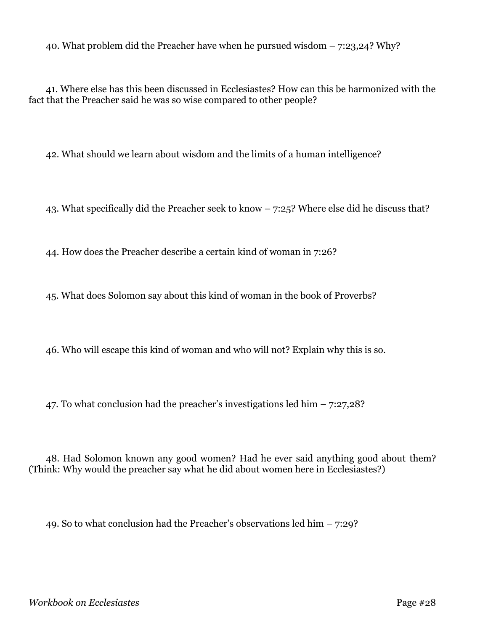40. What problem did the Preacher have when he pursued wisdom – 7:23,24? Why?

41. Where else has this been discussed in Ecclesiastes? How can this be harmonized with the fact that the Preacher said he was so wise compared to other people?

42. What should we learn about wisdom and the limits of a human intelligence?

43. What specifically did the Preacher seek to know – 7:25? Where else did he discuss that?

44. How does the Preacher describe a certain kind of woman in 7:26?

45. What does Solomon say about this kind of woman in the book of Proverbs?

46. Who will escape this kind of woman and who will not? Explain why this is so.

47. To what conclusion had the preacher's investigations led him – 7:27,28?

48. Had Solomon known any good women? Had he ever said anything good about them? (Think: Why would the preacher say what he did about women here in Ecclesiastes?)

49. So to what conclusion had the Preacher's observations led him  $-7:29$ ?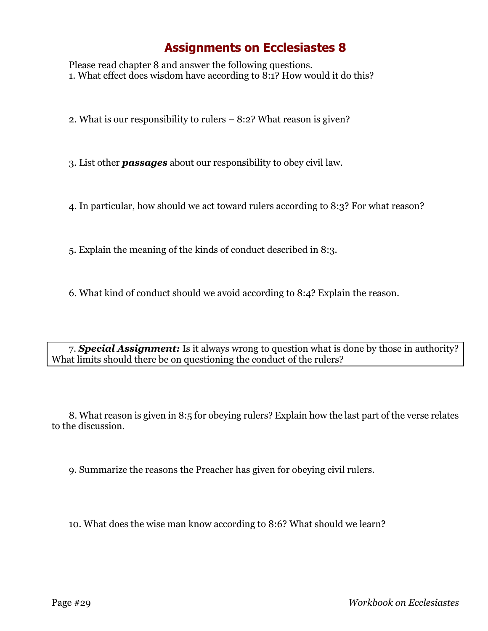Please read chapter 8 and answer the following questions. 1. What effect does wisdom have according to 8:1? How would it do this?

2. What is our responsibility to rulers – 8:2? What reason is given?

3. List other *passages* about our responsibility to obey civil law.

4. In particular, how should we act toward rulers according to 8:3? For what reason?

5. Explain the meaning of the kinds of conduct described in 8:3.

6. What kind of conduct should we avoid according to 8:4? Explain the reason.

7. *Special Assignment:* Is it always wrong to question what is done by those in authority? What limits should there be on questioning the conduct of the rulers?

8. What reason is given in 8:5 for obeying rulers? Explain how the last part of the verse relates to the discussion.

9. Summarize the reasons the Preacher has given for obeying civil rulers.

10. What does the wise man know according to 8:6? What should we learn?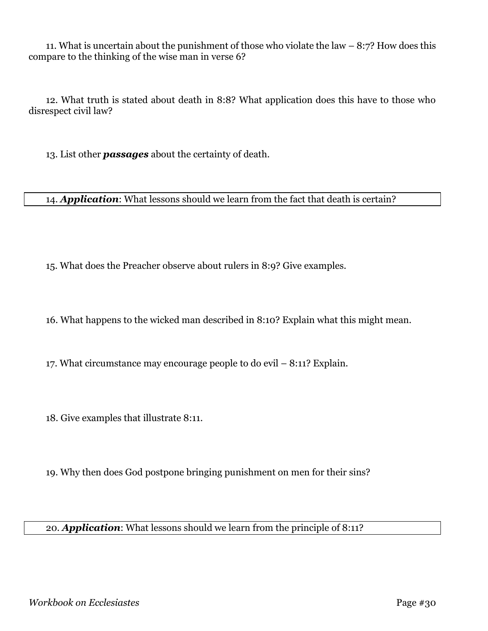11. What is uncertain about the punishment of those who violate the law – 8:7? How does this compare to the thinking of the wise man in verse 6?

12. What truth is stated about death in 8:8? What application does this have to those who disrespect civil law?

13. List other *passages* about the certainty of death.

14. *Application*: What lessons should we learn from the fact that death is certain?

15. What does the Preacher observe about rulers in 8:9? Give examples.

16. What happens to the wicked man described in 8:10? Explain what this might mean.

17. What circumstance may encourage people to do evil – 8:11? Explain.

18. Give examples that illustrate 8:11.

19. Why then does God postpone bringing punishment on men for their sins?

#### 20. *Application*: What lessons should we learn from the principle of 8:11?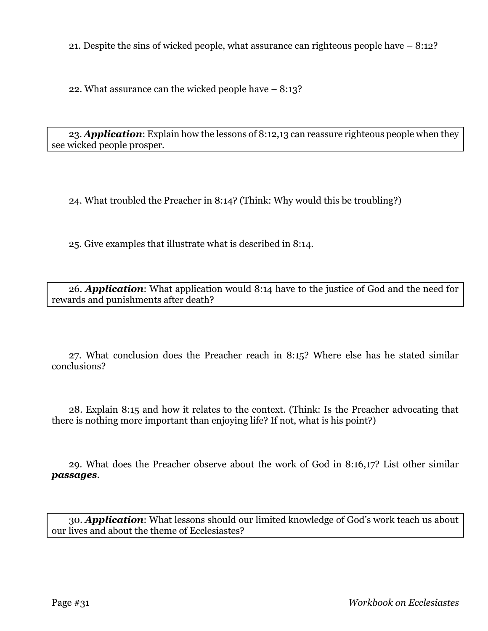21. Despite the sins of wicked people, what assurance can righteous people have – 8:12?

22. What assurance can the wicked people have – 8:13?

23. *Application*: Explain how the lessons of 8:12,13 can reassure righteous people when they see wicked people prosper.

24. What troubled the Preacher in 8:14? (Think: Why would this be troubling?)

25. Give examples that illustrate what is described in 8:14.

26. *Application*: What application would 8:14 have to the justice of God and the need for rewards and punishments after death?

27. What conclusion does the Preacher reach in 8:15? Where else has he stated similar conclusions?

28. Explain 8:15 and how it relates to the context. (Think: Is the Preacher advocating that there is nothing more important than enjoying life? If not, what is his point?)

29. What does the Preacher observe about the work of God in 8:16,17? List other similar *passages*.

30. *Application*: What lessons should our limited knowledge of God's work teach us about our lives and about the theme of Ecclesiastes?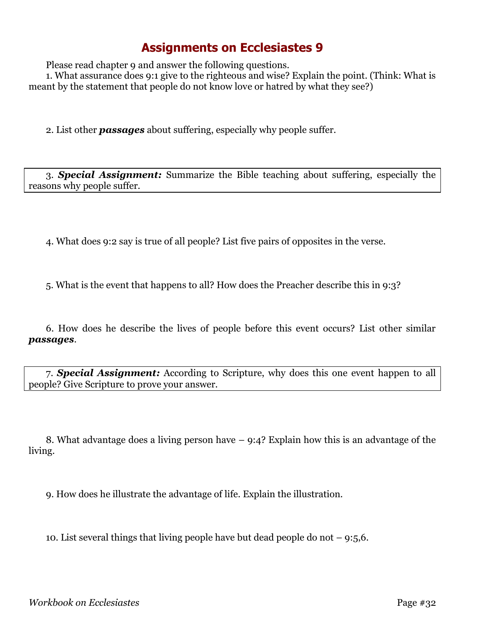Please read chapter 9 and answer the following questions.

1. What assurance does 9:1 give to the righteous and wise? Explain the point. (Think: What is meant by the statement that people do not know love or hatred by what they see?)

2. List other *passages* about suffering, especially why people suffer.

3. *Special Assignment:* Summarize the Bible teaching about suffering, especially the reasons why people suffer.

4. What does 9:2 say is true of all people? List five pairs of opposites in the verse.

5. What is the event that happens to all? How does the Preacher describe this in 9:3?

6. How does he describe the lives of people before this event occurs? List other similar *passages*.

7. *Special Assignment:* According to Scripture, why does this one event happen to all people? Give Scripture to prove your answer.

8. What advantage does a living person have – 9:4? Explain how this is an advantage of the living.

9. How does he illustrate the advantage of life. Explain the illustration.

10. List several things that living people have but dead people do not  $-9:5,6$ .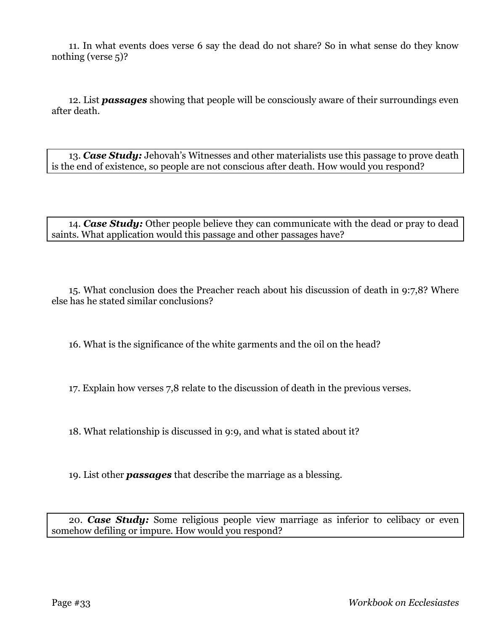11. In what events does verse 6 say the dead do not share? So in what sense do they know nothing (verse 5)?

12. List *passages* showing that people will be consciously aware of their surroundings even after death.

13. *Case Study:* Jehovah's Witnesses and other materialists use this passage to prove death is the end of existence, so people are not conscious after death. How would you respond?

14. *Case Study:* Other people believe they can communicate with the dead or pray to dead saints. What application would this passage and other passages have?

15. What conclusion does the Preacher reach about his discussion of death in 9:7,8? Where else has he stated similar conclusions?

16. What is the significance of the white garments and the oil on the head?

17. Explain how verses 7,8 relate to the discussion of death in the previous verses.

18. What relationship is discussed in 9:9, and what is stated about it?

19. List other *passages* that describe the marriage as a blessing.

20. *Case Study:* Some religious people view marriage as inferior to celibacy or even somehow defiling or impure. How would you respond?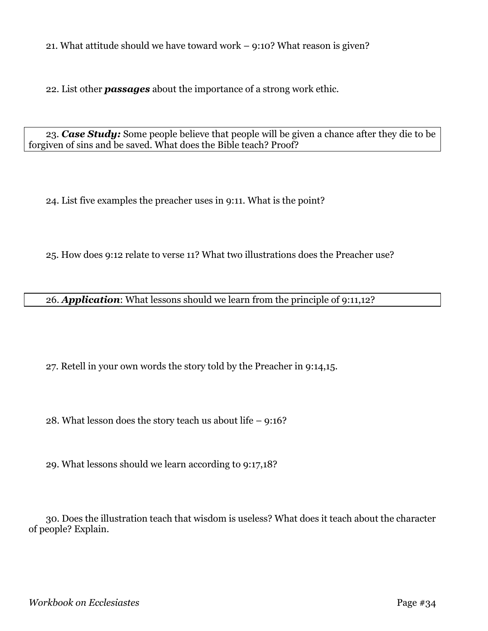21. What attitude should we have toward work – 9:10? What reason is given?

22. List other *passages* about the importance of a strong work ethic.

23. *Case Study:* Some people believe that people will be given a chance after they die to be forgiven of sins and be saved. What does the Bible teach? Proof?

24. List five examples the preacher uses in 9:11. What is the point?

25. How does 9:12 relate to verse 11? What two illustrations does the Preacher use?

26. *Application*: What lessons should we learn from the principle of 9:11,12?

27. Retell in your own words the story told by the Preacher in 9:14,15.

28. What lesson does the story teach us about life – 9:16?

29. What lessons should we learn according to 9:17,18?

30. Does the illustration teach that wisdom is useless? What does it teach about the character of people? Explain.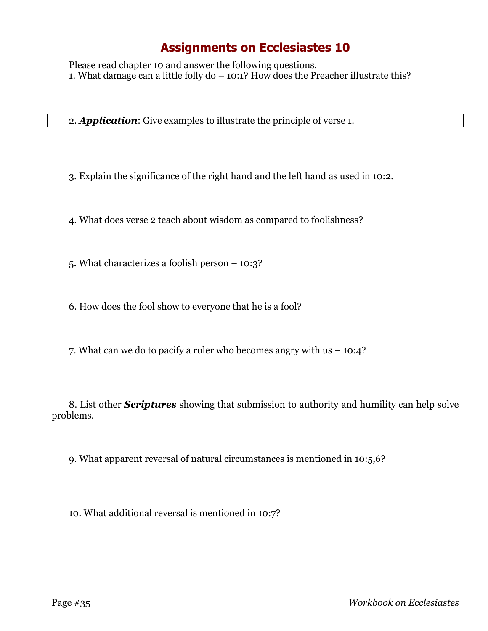Please read chapter 10 and answer the following questions. 1. What damage can a little folly do – 10:1? How does the Preacher illustrate this?

2. *Application*: Give examples to illustrate the principle of verse 1.

3. Explain the significance of the right hand and the left hand as used in 10:2.

4. What does verse 2 teach about wisdom as compared to foolishness?

5. What characterizes a foolish person – 10:3?

6. How does the fool show to everyone that he is a fool?

7. What can we do to pacify a ruler who becomes angry with us – 10:4?

8. List other *Scriptures* showing that submission to authority and humility can help solve problems.

9. What apparent reversal of natural circumstances is mentioned in 10:5,6?

10. What additional reversal is mentioned in 10:7?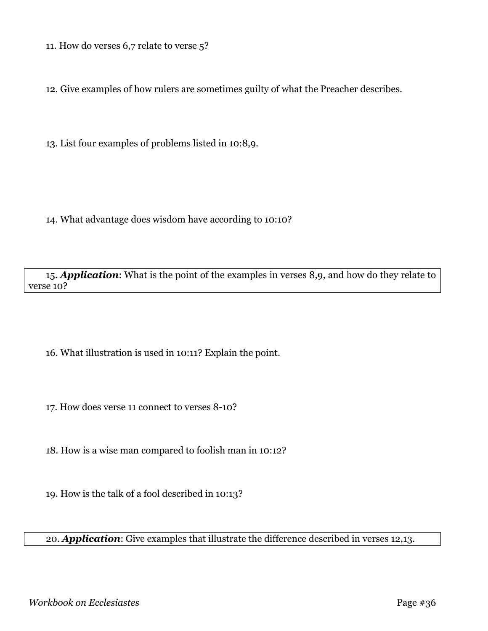11. How do verses 6,7 relate to verse 5?

12. Give examples of how rulers are sometimes guilty of what the Preacher describes.

13. List four examples of problems listed in 10:8,9.

14. What advantage does wisdom have according to 10:10?

15. *Application*: What is the point of the examples in verses 8,9, and how do they relate to verse 10?

16. What illustration is used in 10:11? Explain the point.

17. How does verse 11 connect to verses 8-10?

18. How is a wise man compared to foolish man in 10:12?

19. How is the talk of a fool described in 10:13?

20. *Application*: Give examples that illustrate the difference described in verses 12,13.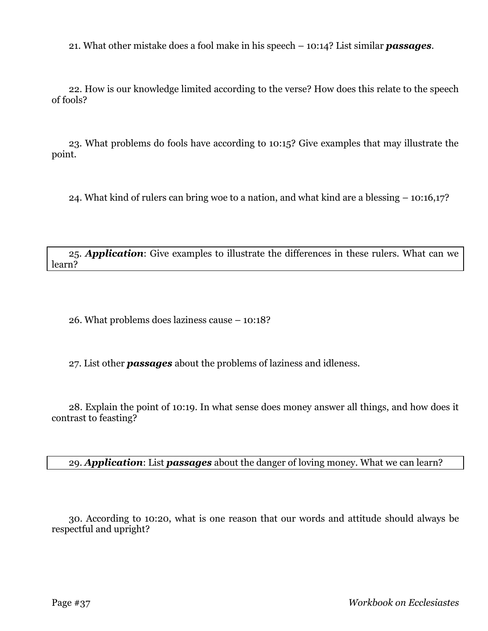21. What other mistake does a fool make in his speech – 10:14? List similar *passages*.

22. How is our knowledge limited according to the verse? How does this relate to the speech of fools?

23. What problems do fools have according to 10:15? Give examples that may illustrate the point.

24. What kind of rulers can bring woe to a nation, and what kind are a blessing – 10:16,17?

25. *Application*: Give examples to illustrate the differences in these rulers. What can we learn?

26. What problems does laziness cause – 10:18?

27. List other *passages* about the problems of laziness and idleness.

28. Explain the point of 10:19. In what sense does money answer all things, and how does it contrast to feasting?

29. *Application*: List *passages* about the danger of loving money. What we can learn?

30. According to 10:20, what is one reason that our words and attitude should always be respectful and upright?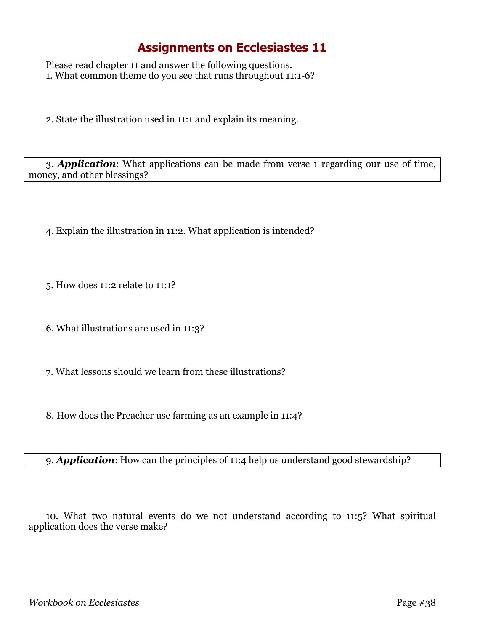Please read chapter 11 and answer the following questions. 1. What common theme do you see that runs throughout 11:1-6?

2. State the illustration used in 11:1 and explain its meaning.

3. *Application*: What applications can be made from verse 1 regarding our use of time, money, and other blessings?

- 4. Explain the illustration in 11:2. What application is intended?
- 5. How does 11:2 relate to 11:1?
- 6. What illustrations are used in 11:3?
- 7. What lessons should we learn from these illustrations?
- 8. How does the Preacher use farming as an example in 11:4?

#### 9. *Application*: How can the principles of 11:4 help us understand good stewardship?

10. What two natural events do we not understand according to 11:5? What spiritual application does the verse make?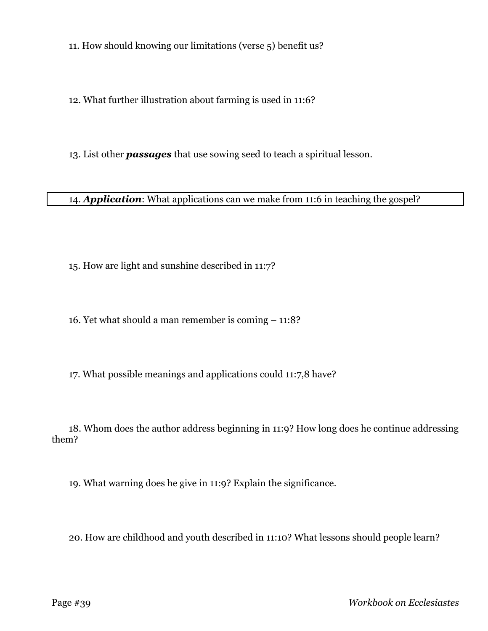11. How should knowing our limitations (verse 5) benefit us?

12. What further illustration about farming is used in 11:6?

13. List other *passages* that use sowing seed to teach a spiritual lesson.

14. *Application*: What applications can we make from 11:6 in teaching the gospel?

15. How are light and sunshine described in 11:7?

16. Yet what should a man remember is coming – 11:8?

17. What possible meanings and applications could 11:7,8 have?

18. Whom does the author address beginning in 11:9? How long does he continue addressing them?

19. What warning does he give in 11:9? Explain the significance.

20. How are childhood and youth described in 11:10? What lessons should people learn?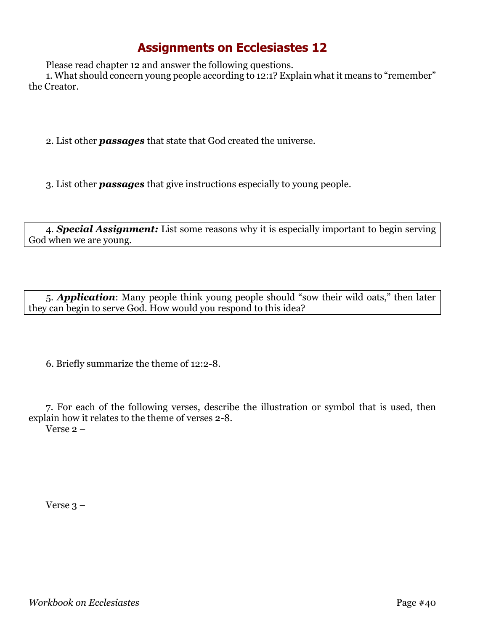Please read chapter 12 and answer the following questions.

1. What should concern young people according to 12:1? Explain what it means to "remember" the Creator.

2. List other *passages* that state that God created the universe.

3. List other *passages* that give instructions especially to young people.

4. *Special Assignment:* List some reasons why it is especially important to begin serving God when we are young.

5. *Application*: Many people think young people should "sow their wild oats," then later they can begin to serve God. How would you respond to this idea?

6. Briefly summarize the theme of 12:2-8.

7. For each of the following verses, describe the illustration or symbol that is used, then explain how it relates to the theme of verses 2-8. Verse 2 –

Verse 3 –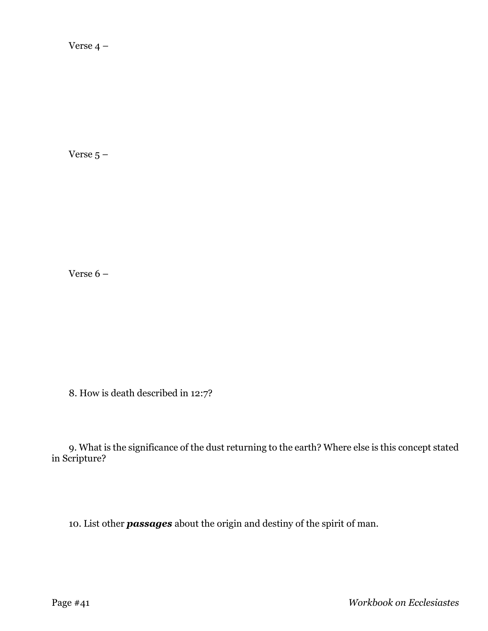Verse 4 –

Verse  $5 -$ 

Verse 6 –

8. How is death described in 12:7?

9. What is the significance of the dust returning to the earth? Where else is this concept stated in Scripture?

10. List other *passages* about the origin and destiny of the spirit of man.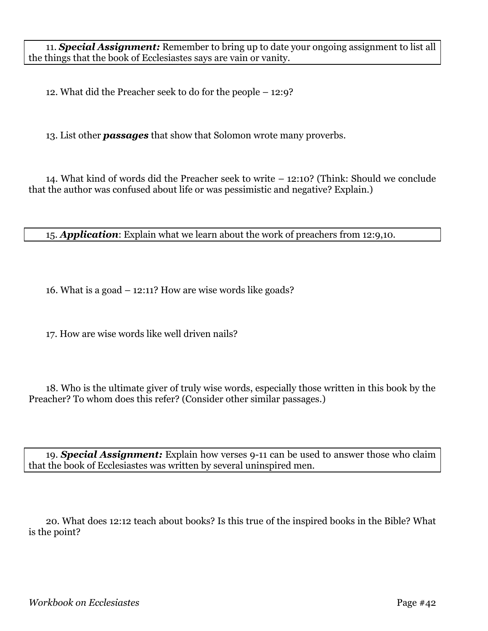11. *Special Assignment:* Remember to bring up to date your ongoing assignment to list all the things that the book of Ecclesiastes says are vain or vanity.

12. What did the Preacher seek to do for the people – 12:9?

13. List other *passages* that show that Solomon wrote many proverbs.

14. What kind of words did the Preacher seek to write – 12:10? (Think: Should we conclude that the author was confused about life or was pessimistic and negative? Explain.)

15. *Application*: Explain what we learn about the work of preachers from 12:9,10.

16. What is a goad – 12:11? How are wise words like goads?

17. How are wise words like well driven nails?

18. Who is the ultimate giver of truly wise words, especially those written in this book by the Preacher? To whom does this refer? (Consider other similar passages.)

19. *Special Assignment:* Explain how verses 9-11 can be used to answer those who claim that the book of Ecclesiastes was written by several uninspired men.

20. What does 12:12 teach about books? Is this true of the inspired books in the Bible? What is the point?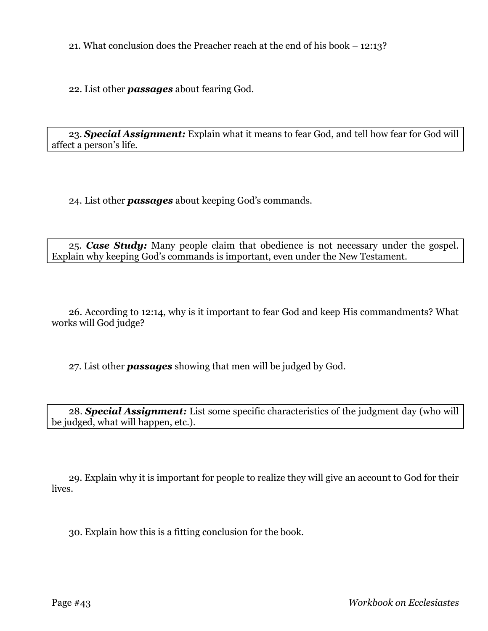21. What conclusion does the Preacher reach at the end of his book – 12:13?

22. List other *passages* about fearing God.

23. *Special Assignment:* Explain what it means to fear God, and tell how fear for God will affect a person's life.

24. List other *passages* about keeping God's commands.

25. *Case Study:* Many people claim that obedience is not necessary under the gospel. Explain why keeping God's commands is important, even under the New Testament.

26. According to 12:14, why is it important to fear God and keep His commandments? What works will God judge?

27. List other *passages* showing that men will be judged by God.

28. *Special Assignment:* List some specific characteristics of the judgment day (who will be judged, what will happen, etc.).

29. Explain why it is important for people to realize they will give an account to God for their lives.

30. Explain how this is a fitting conclusion for the book.